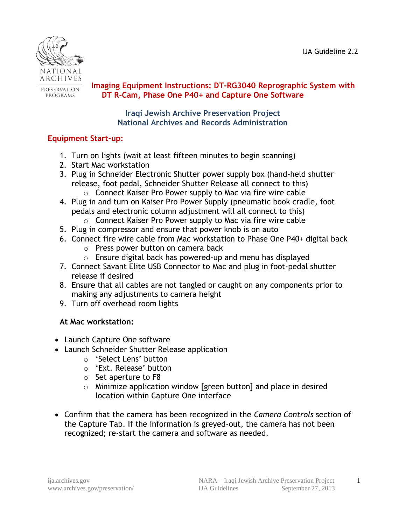

PROGRAMS

#### **<u>PRESERVATION</u> Imaging Equipment Instructions: DT-RG3040 Reprographic System with DT R-Cam, Phase One P40+ and Capture One Software**

**Iraqi Jewish Archive Preservation Project National Archives and Records Administration**

## **Equipment Start-up:**

- 1. Turn on lights (wait at least fifteen minutes to begin scanning)
- 2. Start Mac workstation
- 3. Plug in Schneider Electronic Shutter power supply box (hand-held shutter release, foot pedal, Schneider Shutter Release all connect to this)
- o Connect Kaiser Pro Power supply to Mac via fire wire cable 4. Plug in and turn on Kaiser Pro Power Supply (pneumatic book cradle, foot
- pedals and electronic column adjustment will all connect to this) o Connect Kaiser Pro Power supply to Mac via fire wire cable
	-
- 5. Plug in compressor and ensure that power knob is on auto
- 6. Connect fire wire cable from Mac workstation to Phase One P40+ digital back o Press power button on camera back
	- o Ensure digital back has powered-up and menu has displayed
- 7. Connect Savant Elite USB Connector to Mac and plug in foot-pedal shutter release if desired
- 8. Ensure that all cables are not tangled or caught on any components prior to making any adjustments to camera height
- 9. Turn off overhead room lights

## **At Mac workstation:**

- Launch Capture One software
- Launch Schneider Shutter Release application
	- o 'Select Lens' button
	- o 'Ext. Release' button
	- o Set aperture to F8
	- o Minimize application window [green button] and place in desired location within Capture One interface
- Confirm that the camera has been recognized in the *Camera Controls* section of the Capture Tab. If the information is greyed-out, the camera has not been recognized; re-start the camera and software as needed.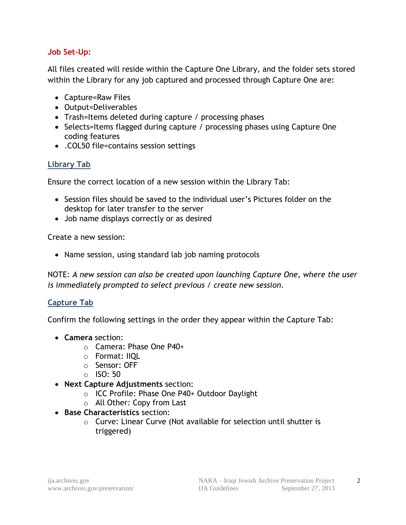### **Job Set-Up:**

All files created will reside within the Capture One Library, and the folder sets stored within the Library for any job captured and processed through Capture One are:

- Capture=Raw Files
- Output=Deliverables
- Trash=Items deleted during capture / processing phases
- Selects=Items flagged during capture / processing phases using Capture One coding features
- .COL50 file=contains session settings

#### **Library Tab**

Ensure the correct location of a new session within the Library Tab:

- Session files should be saved to the individual user's Pictures folder on the desktop for later transfer to the server
- Job name displays correctly or as desired

Create a new session:

• Name session, using standard lab job naming protocols

NOTE: *A new session can also be created upon launching Capture One, where the user is immediately prompted to select previous / create new session.*

#### **Capture Tab**

Confirm the following settings in the order they appear within the Capture Tab:

- **Camera** section:
	- o Camera: Phase One P40+
	- o Format: IIQL
	- o Sensor: OFF
	- $\circ$  ISO: 50
- **Next Capture Adjustments** section:
	- o ICC Profile: Phase One P40+ Outdoor Daylight
	- o All Other: Copy from Last
- **Base Characteristics** section:
	- o Curve: Linear Curve (Not available for selection until shutter is triggered)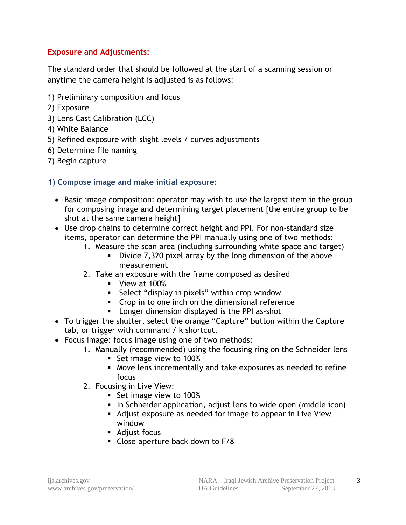### **Exposure and Adjustments:**

The standard order that should be followed at the start of a scanning session or anytime the camera height is adjusted is as follows:

- 1) Preliminary composition and focus
- 2) Exposure
- 3) Lens Cast Calibration (LCC)
- 4) White Balance
- 5) Refined exposure with slight levels / curves adjustments
- 6) Determine file naming
- 7) Begin capture

#### **1) Compose image and make initial exposure:**

- Basic image composition: operator may wish to use the largest item in the group for composing image and determining target placement [the entire group to be shot at the same camera height]
- Use drop chains to determine correct height and PPI. For non-standard size items, operator can determine the PPI manually using one of two methods:
	- 1. Measure the scan area (including surrounding white space and target)
		- Divide 7,320 pixel array by the long dimension of the above measurement
	- 2. Take an exposure with the frame composed as desired
		- **View at 100%**
		- **Select "display in pixels" within crop window**
		- **Crop in to one inch on the dimensional reference**
		- **Longer dimension displayed is the PPI as-shot**
- To trigger the shutter, select the orange "Capture" button within the Capture tab, or trigger with command / k shortcut.
- Focus image: focus image using one of two methods:
	- 1. Manually (recommended) using the focusing ring on the Schneider lens
		- Set image view to 100%
		- Move lens incrementally and take exposures as needed to refine focus
	- 2. Focusing in Live View:
		- Set image view to 100%
		- In Schneider application, adjust lens to wide open (middle icon)
		- Adjust exposure as needed for image to appear in Live View window
		- Adjust focus
		- Close aperture back down to F/8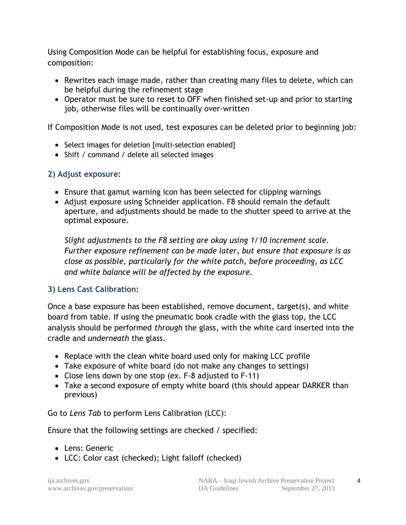Using Composition Mode can be helpful for establishing focus, exposure and composition:

- Rewrites each image made, rather than creating many files to delete, which can be helpful during the refinement stage
- Operator must be sure to reset to OFF when finished set-up and prior to starting job, otherwise files will be continually over-written

If Composition Mode is not used, test exposures can be deleted prior to beginning job:

- Select images for deletion [multi-selection enabled]
- Shift / command / delete all selected images

## **2) Adjust exposure:**

- Ensure that gamut warning icon has been selected for clipping warnings
- Adjust exposure using Schneider application. F8 should remain the default aperture, and adjustments should be made to the shutter speed to arrive at the optimal exposure.

*Slight adjustments to the F8 setting are okay using 1/10 increment scale. Further exposure refinement can be made later, but ensure that exposure is as close as possible, particularly for the white patch, before proceeding, as LCC and white balance will be affected by the exposure.* 

## **3) Lens Cast Calibration:**

Once a base exposure has been established, remove document, target(s), and white board from table. If using the pneumatic book cradle with the glass top, the LCC analysis should be performed *through* the glass, with the white card inserted into the cradle and *underneath* the glass.

- Replace with the clean white board used only for making LCC profile
- Take exposure of white board (do not make any changes to settings)
- Close lens down by one stop (ex. F-8 adjusted to F-11)
- Take a second exposure of empty white board (this should appear DARKER than previous)

Go to *Lens Tab* to perform Lens Calibration (LCC):

Ensure that the following settings are checked / specified:

- Lens: Generic
- LCC: Color cast (checked); Light falloff (checked)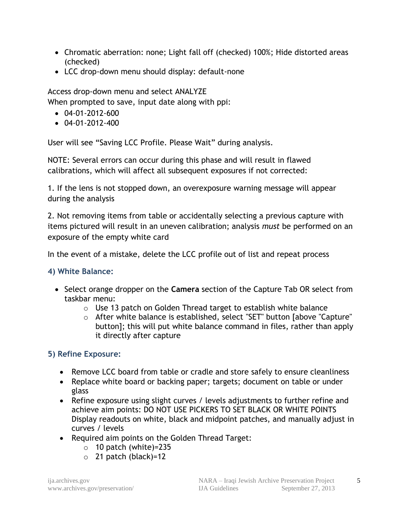- Chromatic aberration: none; Light fall off (checked) 100%; Hide distorted areas (checked)
- LCC drop-down menu should display: default-none

Access drop-down menu and select ANALYZE

When prompted to save, input date along with ppi:

- 04-01-2012-600
- $-04-01-2012-400$

User will see "Saving LCC Profile. Please Wait" during analysis.

NOTE: Several errors can occur during this phase and will result in flawed calibrations, which will affect all subsequent exposures if not corrected:

1. If the lens is not stopped down, an overexposure warning message will appear during the analysis

2. Not removing items from table or accidentally selecting a previous capture with items pictured will result in an uneven calibration; analysis *must* be performed on an exposure of the empty white card

In the event of a mistake, delete the LCC profile out of list and repeat process

## **4) White Balance:**

- Select orange dropper on the **Camera** section of the Capture Tab OR select from taskbar menu:
	- o Use 13 patch on Golden Thread target to establish white balance
	- o After white balance is established, select "SET" button [above "Capture" button]; this will put white balance command in files, rather than apply it directly after capture

## **5) Refine Exposure:**

- Remove LCC board from table or cradle and store safely to ensure cleanliness
- Replace white board or backing paper; targets; document on table or under glass
- Refine exposure using slight curves / levels adjustments to further refine and achieve aim points: DO NOT USE PICKERS TO SET BLACK OR WHITE POINTS Display readouts on white, black and midpoint patches, and manually adjust in curves / levels
- Required aim points on the Golden Thread Target:
	- $\circ$  10 patch (white)=235
	- $\circ$  21 patch (black)=12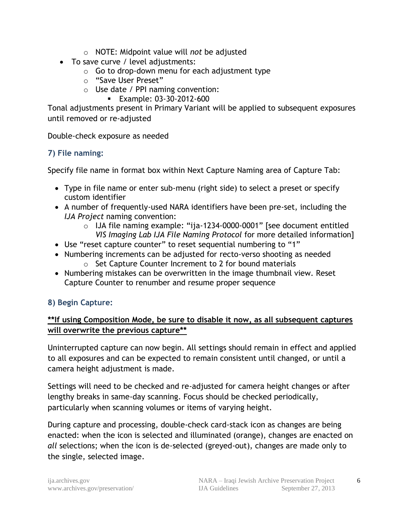- o NOTE: Midpoint value will *not* be adjusted
- To save curve / level adjustments:
	- $\circ$  Go to drop-down menu for each adjustment type
	- o "Save User Preset"
	- o Use date / PPI naming convention:
		- **Example: 03-30-2012-600**

Tonal adjustments present in Primary Variant will be applied to subsequent exposures until removed or re-adjusted

Double-check exposure as needed

## **7) File naming:**

Specify file name in format box within Next Capture Naming area of Capture Tab:

- Type in file name or enter sub-menu (right side) to select a preset or specify custom identifier
- A number of frequently-used NARA identifiers have been pre-set, including the *IJA Project* naming convention:
	- o IJA file naming example: "ija-1234-0000-0001" [see document entitled *VIS Imaging Lab IJA File Naming Protocol* for more detailed information]
- Use "reset capture counter" to reset sequential numbering to "1"
- Numbering increments can be adjusted for recto-verso shooting as needed o Set Capture Counter Increment to 2 for bound materials
- Numbering mistakes can be overwritten in the image thumbnail view. Reset Capture Counter to renumber and resume proper sequence

# **8) Begin Capture:**

## **\*\*If using Composition Mode, be sure to disable it now, as all subsequent captures will overwrite the previous capture\*\***

Uninterrupted capture can now begin. All settings should remain in effect and applied to all exposures and can be expected to remain consistent until changed, or until a camera height adjustment is made.

Settings will need to be checked and re-adjusted for camera height changes or after lengthy breaks in same-day scanning. Focus should be checked periodically, particularly when scanning volumes or items of varying height.

During capture and processing, double-check card-stack icon as changes are being enacted: when the icon is selected and illuminated (orange), changes are enacted on *all* selections; when the icon is de-selected (greyed-out), changes are made only to the single, selected image.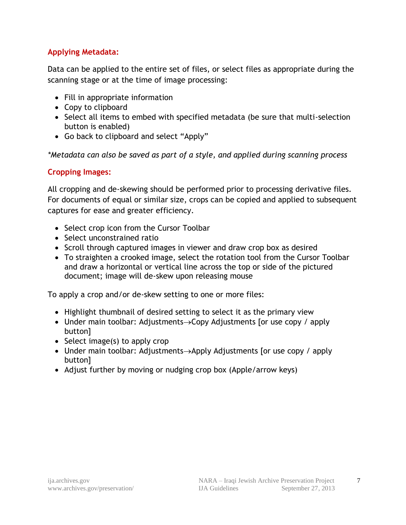## **Applying Metadata:**

Data can be applied to the entire set of files, or select files as appropriate during the scanning stage or at the time of image processing:

- Fill in appropriate information
- Copy to clipboard
- Select all items to embed with specified metadata (be sure that multi-selection button is enabled)
- Go back to clipboard and select "Apply"

*\*Metadata can also be saved as part of a style, and applied during scanning process*

## **Cropping Images:**

All cropping and de-skewing should be performed prior to processing derivative files. For documents of equal or similar size, crops can be copied and applied to subsequent captures for ease and greater efficiency.

- Select crop icon from the Cursor Toolbar
- Select unconstrained ratio
- Scroll through captured images in viewer and draw crop box as desired
- To straighten a crooked image, select the rotation tool from the Cursor Toolbar and draw a horizontal or vertical line across the top or side of the pictured document; image will de-skew upon releasing mouse

To apply a crop and/or de-skew setting to one or more files:

- Highlight thumbnail of desired setting to select it as the primary view
- Under main toolbar: Adjustments $\rightarrow$ Copy Adjustments [or use copy / apply button]
- $\bullet$  Select image(s) to apply crop
- Under main toolbar: Adjustments $\rightarrow$ Apply Adjustments [or use copy / apply button]
- Adjust further by moving or nudging crop box (Apple/arrow keys)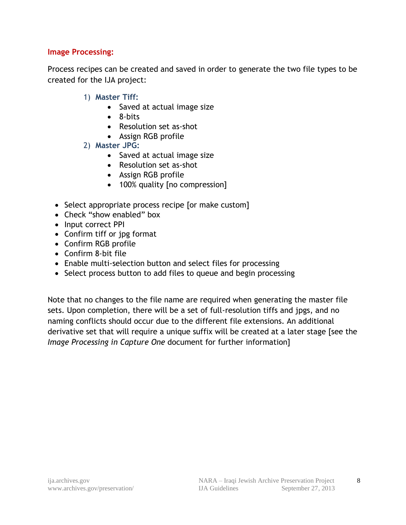#### **Image Processing:**

Process recipes can be created and saved in order to generate the two file types to be created for the IJA project:

- 1) **Master Tiff:**
	- Saved at actual image size
	- 8-bits
	- Resolution set as-shot
	- Assign RGB profile
- 2) **Master JPG:**
	- Saved at actual image size
	- Resolution set as-shot
	- Assign RGB profile
	- 100% quality [no compression]
- Select appropriate process recipe [or make custom]
- Check "show enabled" box
- Input correct PPI
- Confirm tiff or jpg format
- Confirm RGB profile
- Confirm 8-bit file
- Enable multi-selection button and select files for processing
- Select process button to add files to queue and begin processing

Note that no changes to the file name are required when generating the master file sets. Upon completion, there will be a set of full-resolution tiffs and jpgs, and no naming conflicts should occur due to the different file extensions. An additional derivative set that will require a unique suffix will be created at a later stage [see the *Image Processing in Capture One* document for further information]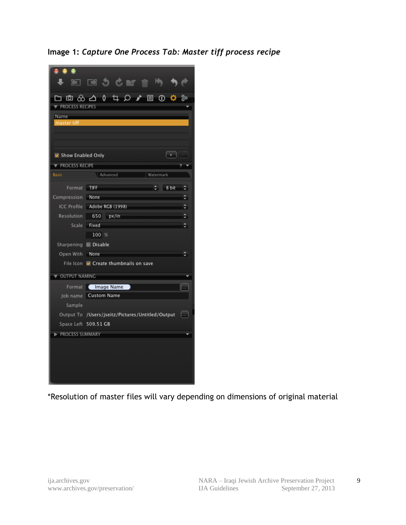**Image 1:** *Capture One Process Tab: Master tiff process recipe*

|                            | א∎ <b>אט לפ</b> אם ה                                                         |  |  |  |  |  |  |
|----------------------------|------------------------------------------------------------------------------|--|--|--|--|--|--|
|                            |                                                                              |  |  |  |  |  |  |
| PROCESS RECIPES            |                                                                              |  |  |  |  |  |  |
| Name<br>master tiff        |                                                                              |  |  |  |  |  |  |
|                            |                                                                              |  |  |  |  |  |  |
|                            |                                                                              |  |  |  |  |  |  |
| Show Enabled Only          | $+$ $+$                                                                      |  |  |  |  |  |  |
| PROCESS RECIPE             |                                                                              |  |  |  |  |  |  |
| <b>Basic</b>               | Advanced<br>Watermark                                                        |  |  |  |  |  |  |
|                            |                                                                              |  |  |  |  |  |  |
|                            | Format TIFF<br>$\div$ 8 bit $\div$                                           |  |  |  |  |  |  |
| Compression None           |                                                                              |  |  |  |  |  |  |
|                            | ICC Profile Adobe RGB (1998)<br>≑.                                           |  |  |  |  |  |  |
| Resolution<br><b>Scale</b> | 650 px/in<br>- 91                                                            |  |  |  |  |  |  |
|                            | Fixed<br>100%                                                                |  |  |  |  |  |  |
|                            |                                                                              |  |  |  |  |  |  |
| Sharpening <b>Disable</b>  |                                                                              |  |  |  |  |  |  |
| Open With None             | ÷<br>File Icon M Create thumbnails on save                                   |  |  |  |  |  |  |
|                            |                                                                              |  |  |  |  |  |  |
| OUTPUT NAMING              |                                                                              |  |  |  |  |  |  |
| Format                     | Image Name<br><b>I</b>                                                       |  |  |  |  |  |  |
| Job name                   | Custom Name                                                                  |  |  |  |  |  |  |
| Sample                     |                                                                              |  |  |  |  |  |  |
|                            | Output To /Users/jseitz/Pictures/Untitled/Output<br>$\overline{\phantom{a}}$ |  |  |  |  |  |  |
|                            | Space Left 509.51 GB                                                         |  |  |  |  |  |  |
| PROCESS SUMMARY            |                                                                              |  |  |  |  |  |  |
|                            |                                                                              |  |  |  |  |  |  |
|                            |                                                                              |  |  |  |  |  |  |
|                            |                                                                              |  |  |  |  |  |  |
|                            |                                                                              |  |  |  |  |  |  |
|                            |                                                                              |  |  |  |  |  |  |

\*Resolution of master files will vary depending on dimensions of original material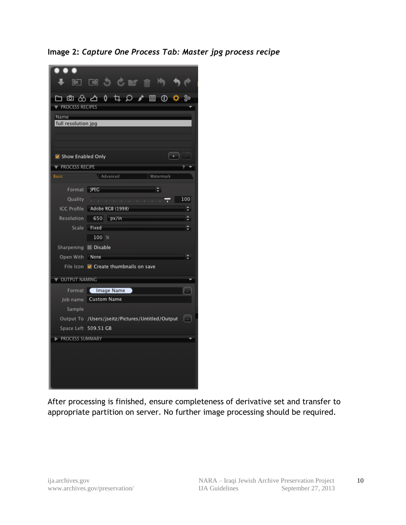**Image 2:** *Capture One Process Tab: Master jpg process recipe*



After processing is finished, ensure completeness of derivative set and transfer to appropriate partition on server. No further image processing should be required.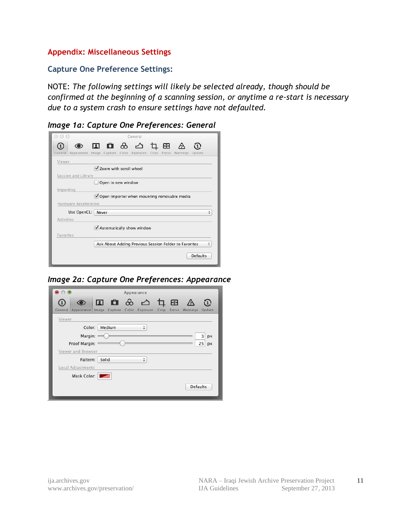#### **Appendix: Miscellaneous Settings**

**Capture One Preference Settings:**

NOTE: *The following settings will likely be selected already, though should be confirmed at the beginning of a scanning session, or anytime a re-start is necessary due to a system crash to ensure settings have not defaulted.* 

*Image 1a: Capture One Preferences: General*

| General                                                                                        |
|------------------------------------------------------------------------------------------------|
| 10 8 4 4 8<br>General Appearance Image Capture Color Exposure Crop<br>Focus Warnings<br>Update |
| Viewer                                                                                         |
| Zoom with scroll wheel                                                                         |
| Session and Library                                                                            |
| Open in new window                                                                             |
| Importing                                                                                      |
| ○ Open Importer when mounting removable media                                                  |
| Hardware Acceleration                                                                          |
| Use OpenCL: Never                                                                              |
| <b>Activities</b>                                                                              |
| Automatically show window                                                                      |
| Favorites                                                                                      |
| Ask About Adding Previous Session Folder to Favorites                                          |
| <b>Defaults</b>                                                                                |

*Image 2a: Capture One Preferences: Appearance*

| $\bullet$ $\circ$ $\bullet$                                         | Appearance                    |                    |
|---------------------------------------------------------------------|-------------------------------|--------------------|
| General Appearance Image Capture Color Exposure Crop Focus Warnings | 回口的公口田公                       | $\Omega$<br>Update |
| Viewer                                                              |                               |                    |
| Medium<br>Color:                                                    | ۸<br>$\overline{\phantom{a}}$ |                    |
| Margin: $=$                                                         |                               | 3<br>px            |
| Proof Margin: =                                                     |                               | 25<br>px           |
| Viewer and Browser                                                  |                               |                    |
| Solid<br>Pattern:                                                   | ▲                             |                    |
| Local Adjustments                                                   |                               |                    |
| Mask Color:                                                         |                               |                    |
|                                                                     |                               | <b>Defaults</b>    |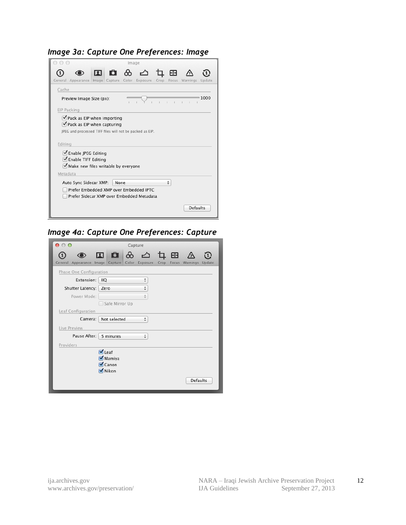#### *Image 3a: Capture One Preferences: Image*



#### *Image 4a: Capture One Preferences: Capture*

| $\bigcirc$<br>∩         | Capture                                                       |                     |  |       |                 |        |  |  |
|-------------------------|---------------------------------------------------------------|---------------------|--|-------|-----------------|--------|--|--|
| General.<br>Appearance  | 国内801国<br>Image Capture Color Exposure Crop                   |                     |  | Focus | Warnings        | Update |  |  |
|                         | Phase One Configuration                                       |                     |  |       |                 |        |  |  |
| Extension:              | <b>IIQ</b>                                                    | ÷                   |  |       |                 |        |  |  |
| Shutter Latency:   Zero |                                                               | $\frac{1}{\pi}$     |  |       |                 |        |  |  |
| Power Mode:             |                                                               | $\frac{\hbar}{\pi}$ |  |       |                 |        |  |  |
|                         | Safe Mirror Up                                                |                     |  |       |                 |        |  |  |
| Leaf Configuration      |                                                               |                     |  |       |                 |        |  |  |
| Camera:                 | Not selected                                                  | ÷                   |  |       |                 |        |  |  |
| Live Preview            |                                                               |                     |  |       |                 |        |  |  |
| Pause After:            | 5 minutes                                                     | ÷                   |  |       |                 |        |  |  |
| Providers               |                                                               |                     |  |       |                 |        |  |  |
|                         | $\nabla$ Leaf<br>Ø Mamiya<br><b>√</b> Canon<br><b>√</b> Nikon |                     |  |       |                 |        |  |  |
|                         |                                                               |                     |  |       | <b>Defaults</b> |        |  |  |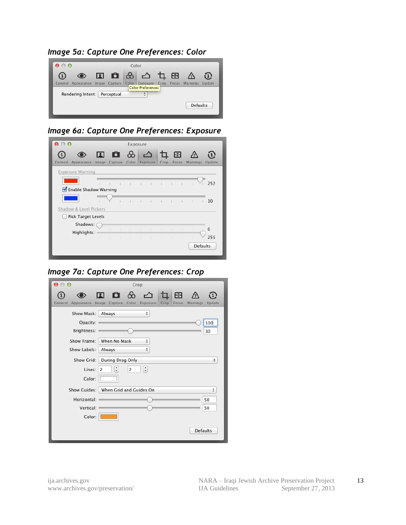*Image 5a: Capture One Preferences: Color*



*Image 6a: Capture One Preferences: Exposure*

| $\bullet$ $\circ$ $\circ$ |              |                |                | Exposure     |             |                |                |              |                        |                 |          |
|---------------------------|--------------|----------------|----------------|--------------|-------------|----------------|----------------|--------------|------------------------|-----------------|----------|
| General<br>Appearance     | П<br>Image   | Capture        |                | 6 8          |             | Color Exposure | □<br>Crop      | 圄<br>Focus   |                        | Warnings        | Update   |
| Exposure Warning          |              |                |                |              |             |                |                |              |                        |                 |          |
|                           | $\mathbf{I}$ | $\mathbb{R}$   | $\mathbb{I}$   | $\mathbb{L}$ |             | $\mathbf{I}$   | п              |              |                        |                 | 252      |
| Enable Shadow Warning     |              |                |                |              |             |                |                |              |                        |                 |          |
|                           |              |                | $\mathbb{L}$   | $\mathbb{L}$ |             | $\mathbb{L}$   | п              | $\mathbf{I}$ | $\mathbf{I}$           | п               | 10       |
| Shadow & Level Pickers    |              |                |                |              |             |                |                |              |                        |                 |          |
| Pick Target Levels        |              |                |                |              |             |                |                |              |                        |                 |          |
| Shadows:<br>Highlights:   |              |                | $\mathbb{R}^n$ | $\mathbb{R}$ | <b>COLL</b> | $\bigcirc$     | $\mathbb{R}^n$ | ÷            | $\mathbb{I}$           | $\mathbb{R}$    | $\Omega$ |
|                           | $\mathbb{I}$ | $\mathbb{R}^n$ | $\mathbf{I}$   | $\mathbb{R}$ | $\oplus$    | $\sim$ 1.0     | The Control    |              | $\mathbb{R}$<br>$\sim$ |                 | 255      |
|                           |              |                |                |              |             |                |                |              |                        | <b>Defaults</b> |          |
|                           |              |                |                |              |             |                |                |              |                        |                 |          |

*Image 7a: Capture One Preferences: Crop*

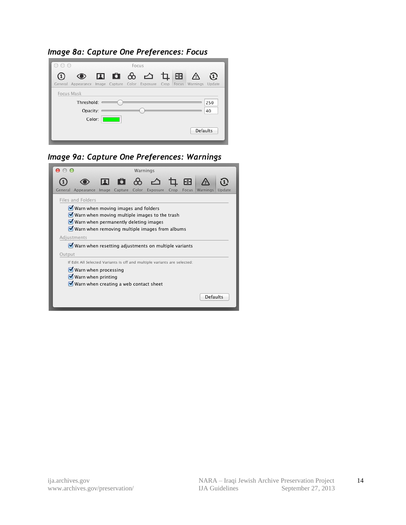*Image 8a: Capture One Preferences: Focus*

| $\bigcap$ |                                                                            |  | Focus |         |  |                 |                                |
|-----------|----------------------------------------------------------------------------|--|-------|---------|--|-----------------|--------------------------------|
|           | ◉                                                                          |  |       | 国自负凸中国公 |  |                 | $\textcircled{\scriptsize{1}}$ |
|           | General Appearance Image Capture Color Exposure Crop Focus Warnings Update |  |       |         |  |                 |                                |
|           | Focus Mask                                                                 |  |       |         |  |                 |                                |
|           | Threshold: $=$                                                             |  |       |         |  |                 | 250                            |
|           | Opacity:                                                                   |  |       |         |  |                 | 40                             |
|           | Color:                                                                     |  |       |         |  |                 |                                |
|           |                                                                            |  |       |         |  | <b>Defaults</b> |                                |
|           |                                                                            |  |       |         |  |                 |                                |

*Image 9a: Capture One Preferences: Warnings*

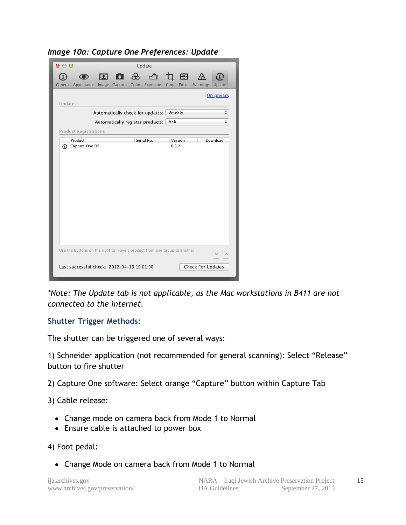| $\mathbf{\Theta} \odot \mathbf{\Theta}$<br>Update                        |                                        |
|--------------------------------------------------------------------------|----------------------------------------|
| 面 ⊗ △<br>П<br>General Appearance Image Capture<br>Color<br>Exposure      | 4日<br>Crop<br>Focus Warnings<br>Update |
| Updates                                                                  | On privacy                             |
| Automatically check for updates:                                         | Weekly<br>÷                            |
| Automatically register products:                                         | ÷<br>Ask                               |
| <b>Product Registrations</b>                                             |                                        |
| Product<br>Serial No.                                                    | Download<br>Version                    |
|                                                                          |                                        |
| Use the buttons on the right to move a product from one group to another |                                        |
| Last successful check: 2012-04-19 10:01:00                               | Check For Updates                      |

*\*Note: The Update tab is not applicable, as the Mac workstations in B411 are not connected to the internet.*

#### **Shutter Trigger Methods:**

The shutter can be triggered one of several ways:

1) Schneider application (not recommended for general scanning): Select "Release" button to fire shutter

2) Capture One software: Select orange "Capture" button within Capture Tab

3) Cable release:

- Change mode on camera back from Mode 1 to Normal
- Ensure cable is attached to power box

4) Foot pedal:

Change Mode on camera back from Mode 1 to Normal